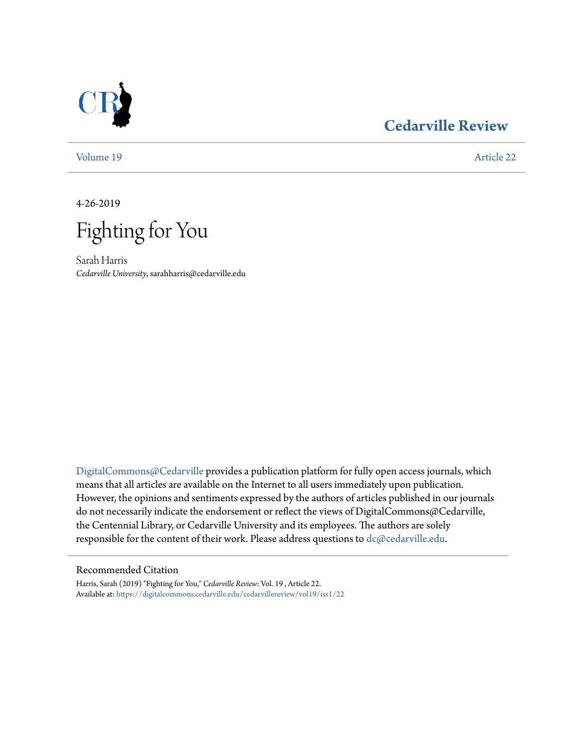

## **[Cedarville Review](https://digitalcommons.cedarville.edu/cedarvillereview?utm_source=digitalcommons.cedarville.edu%2Fcedarvillereview%2Fvol19%2Fiss1%2F22&utm_medium=PDF&utm_campaign=PDFCoverPages)**

[Volume 19](https://digitalcommons.cedarville.edu/cedarvillereview/vol19?utm_source=digitalcommons.cedarville.edu%2Fcedarvillereview%2Fvol19%2Fiss1%2F22&utm_medium=PDF&utm_campaign=PDFCoverPages) [Article 22](https://digitalcommons.cedarville.edu/cedarvillereview/vol19/iss1/22?utm_source=digitalcommons.cedarville.edu%2Fcedarvillereview%2Fvol19%2Fiss1%2F22&utm_medium=PDF&utm_campaign=PDFCoverPages)

4-26-2019



Sarah Harris *Cedarville University*, sarahharris@cedarville.edu

[DigitalCommons@Cedarville](http://digitalcommons.cedarville.edu/) provides a publication platform for fully open access journals, which means that all articles are available on the Internet to all users immediately upon publication. However, the opinions and sentiments expressed by the authors of articles published in our journals do not necessarily indicate the endorsement or reflect the views of DigitalCommons@Cedarville, the Centennial Library, or Cedarville University and its employees. The authors are solely responsible for the content of their work. Please address questions to [dc@cedarville.edu](mailto:dc@cedarville.edu).

## Recommended Citation

Harris, Sarah (2019) "Fighting for You," *Cedarville Review*: Vol. 19 , Article 22. Available at: [https://digitalcommons.cedarville.edu/cedarvillereview/vol19/iss1/22](https://digitalcommons.cedarville.edu/cedarvillereview/vol19/iss1/22?utm_source=digitalcommons.cedarville.edu%2Fcedarvillereview%2Fvol19%2Fiss1%2F22&utm_medium=PDF&utm_campaign=PDFCoverPages)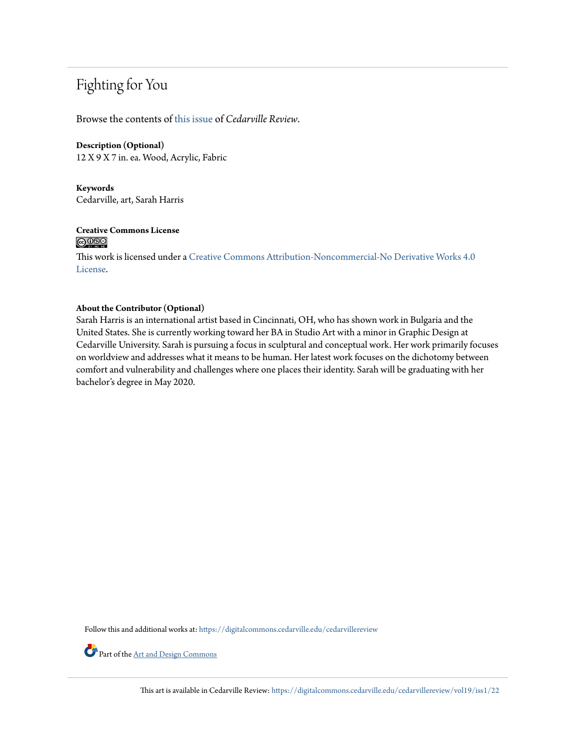## Fighting for You

Browse the contents of [this issue](https://digitalcommons.cedarville.edu/cedarvillereview/vol19/iss1) of *Cedarville Review*.

**Description (Optional)** 12 X 9 X 7 in. ea. Wood, Acrylic, Fabric

**Keywords** Cedarville, art, Sarah Harris

**Creative Commons License**  $\bigcirc$   $\circ$ 

This work is licensed under a [Creative Commons Attribution-Noncommercial-No Derivative Works 4.0](http://creativecommons.org/licenses/by-nc-nd/4.0/) [License.](http://creativecommons.org/licenses/by-nc-nd/4.0/)

## **About the Contributor (Optional)**

Sarah Harris is an international artist based in Cincinnati, OH, who has shown work in Bulgaria and the United States. She is currently working toward her BA in Studio Art with a minor in Graphic Design at Cedarville University. Sarah is pursuing a focus in sculptural and conceptual work. Her work primarily focuses on worldview and addresses what it means to be human. Her latest work focuses on the dichotomy between comfort and vulnerability and challenges where one places their identity. Sarah will be graduating with her bachelor's degree in May 2020.

Follow this and additional works at: [https://digitalcommons.cedarville.edu/cedarvillereview](https://digitalcommons.cedarville.edu/cedarvillereview?utm_source=digitalcommons.cedarville.edu%2Fcedarvillereview%2Fvol19%2Fiss1%2F22&utm_medium=PDF&utm_campaign=PDFCoverPages)

Part of the [Art and Design Commons](http://network.bepress.com/hgg/discipline/1049?utm_source=digitalcommons.cedarville.edu%2Fcedarvillereview%2Fvol19%2Fiss1%2F22&utm_medium=PDF&utm_campaign=PDFCoverPages)